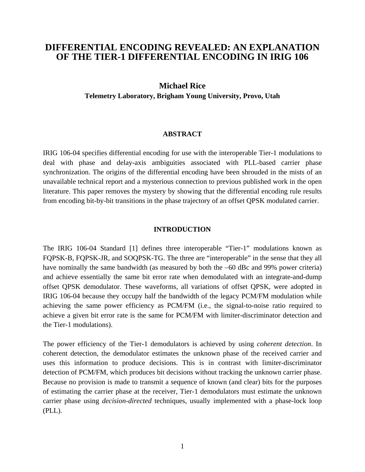# **DIFFERENTIAL ENCODING REVEALED: AN EXPLANATION OF THE TIER-1 DIFFERENTIAL ENCODING IN IRIG 106**

# **Michael Rice**

**Telemetry Laboratory, Brigham Young University, Provo, Utah** 

# **ABSTRACT**

IRIG 106-04 specifies differential encoding for use with the interoperable Tier-1 modulations to deal with phase and delay-axis ambiguities associated with PLL-based carrier phase synchronization. The origins of the differential encoding have been shrouded in the mists of an unavailable technical report and a mysterious connection to previous published work in the open literature. This paper removes the mystery by showing that the differential encoding rule results from encoding bit-by-bit transitions in the phase trajectory of an offset QPSK modulated carrier.

# **INTRODUCTION**

The IRIG 106-04 Standard [1] defines three interoperable "Tier-1" modulations known as FQPSK-B, FQPSK-JR, and SOQPSK-TG. The three are "interoperable" in the sense that they all have nominally the same bandwidth (as measured by both the −60 dBc and 99% power criteria) and achieve essentially the same bit error rate when demodulated with an integrate-and-dump offset QPSK demodulator. These waveforms, all variations of offset QPSK, were adopted in IRIG 106-04 because they occupy half the bandwidth of the legacy PCM/FM modulation while achieving the same power efficiency as PCM/FM (i.e., the signal-to-noise ratio required to achieve a given bit error rate is the same for PCM/FM with limiter-discriminator detection and the Tier-1 modulations).

The power efficiency of the Tier-1 demodulators is achieved by using *coherent detection*. In coherent detection, the demodulator estimates the unknown phase of the received carrier and uses this information to produce decisions. This is in contrast with limiter-discriminator detection of PCM/FM, which produces bit decisions without tracking the unknown carrier phase. Because no provision is made to transmit a sequence of known (and clear) bits for the purposes of estimating the carrier phase at the receiver, Tier-1 demodulators must estimate the unknown carrier phase using *decision-directed* techniques, usually implemented with a phase-lock loop (PLL).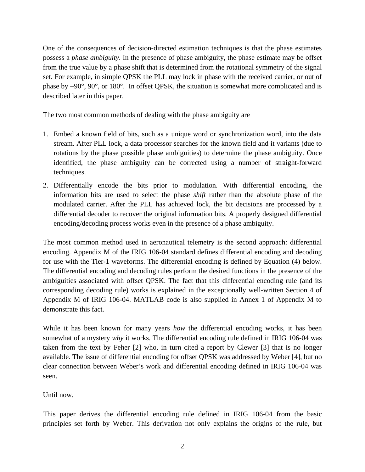One of the consequences of decision-directed estimation techniques is that the phase estimates possess a *phase ambiguity*. In the presence of phase ambiguity, the phase estimate may be offset from the true value by a phase shift that is determined from the rotational symmetry of the signal set. For example, in simple QPSK the PLL may lock in phase with the received carrier, or out of phase by −90°, 90°, or 180°. In offset QPSK, the situation is somewhat more complicated and is described later in this paper.

The two most common methods of dealing with the phase ambiguity are

- 1. Embed a known field of bits, such as a unique word or synchronization word, into the data stream. After PLL lock, a data processor searches for the known field and it variants (due to rotations by the phase possible phase ambiguities) to determine the phase ambiguity. Once identified, the phase ambiguity can be corrected using a number of straight-forward techniques.
- 2. Differentially encode the bits prior to modulation. With differential encoding, the information bits are used to select the phase *shift* rather than the absolute phase of the modulated carrier. After the PLL has achieved lock, the bit decisions are processed by a differential decoder to recover the original information bits. A properly designed differential encoding/decoding process works even in the presence of a phase ambiguity.

The most common method used in aeronautical telemetry is the second approach: differential encoding. Appendix M of the IRIG 106-04 standard defines differential encoding and decoding for use with the Tier-1 waveforms. The differential encoding is defined by Equation (4) below. The differential encoding and decoding rules perform the desired functions in the presence of the ambiguities associated with offset QPSK. The fact that this differential encoding rule (and its corresponding decoding rule) works is explained in the exceptionally well-written Section 4 of Appendix M of IRIG 106-04. MATLAB code is also supplied in Annex 1 of Appendix M to demonstrate this fact.

While it has been known for many years *how* the differential encoding works, it has been somewhat of a mystery *why* it works. The differential encoding rule defined in IRIG 106-04 was taken from the text by Feher [2] who, in turn cited a report by Clewer [3] that is no longer available. The issue of differential encoding for offset QPSK was addressed by Weber [4], but no clear connection between Weber's work and differential encoding defined in IRIG 106-04 was seen.

Until now.

This paper derives the differential encoding rule defined in IRIG 106-04 from the basic principles set forth by Weber. This derivation not only explains the origins of the rule, but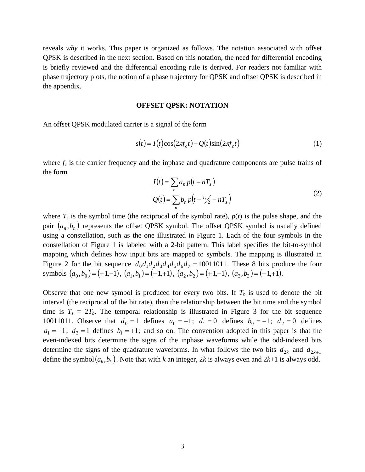reveals *why* it works. This paper is organized as follows. The notation associated with offset QPSK is described in the next section. Based on this notation, the need for differential encoding is briefly reviewed and the differential encoding rule is derived. For readers not familiar with phase trajectory plots, the notion of a phase trajectory for QPSK and offset QPSK is described in the appendix.

## **OFFSET QPSK: NOTATION**

An offset QPSK modulated carrier is a signal of the form

$$
s(t) = I(t)\cos(2\pi f_c t) - Q(t)\sin(2\pi f_c t)
$$
\n(1)

where  $f_c$  is the carrier frequency and the inphase and quadrature components are pulse trains of the form

$$
I(t) = \sum_{n} a_n p(t - nT_s)
$$
  
 
$$
Q(t) = \sum_{n} b_n p(t - \frac{T_s}{2} - nT_s)
$$
 (2)

where  $T_s$  is the symbol time (the reciprocal of the symbol rate),  $p(t)$  is the pulse shape, and the pair  $(a_n, b_n)$  represents the offset QPSK symbol. The offset QPSK symbol is usually defined using a constellation, such as the one illustrated in Figure 1. Each of the four symbols in the constellation of Figure 1 is labeled with a 2-bit pattern. This label specifies the bit-to-symbol mapping which defines how input bits are mapped to symbols. The mapping is illustrated in Figure 2 for the bit sequence  $d_0d_1d_2d_3d_4d_5d_6d_7 = 10011011$ . These 8 bits produce the four symbols  $(a_0, b_0) = (+1,-1)$ ,  $(a_1, b_1) = (-1,+1)$ ,  $(a_2, b_2) = (+1,-1)$ ,  $(a_3, b_3) = (+1,+1)$ .

Observe that one new symbol is produced for every two bits. If  $T<sub>b</sub>$  is used to denote the bit interval (the reciprocal of the bit rate), then the relationship between the bit time and the symbol time is  $T_s = 2T_b$ . The temporal relationship is illustrated in Figure 3 for the bit sequence 10011011. Observe that  $d_0 = 1$  defines  $a_0 = +1$ ;  $d_1 = 0$  defines  $b_0 = -1$ ;  $d_2 = 0$  defines  $a_1 = -1$ ;  $d_3 = 1$  defines  $b_1 = +1$ ; and so on. The convention adopted in this paper is that the even-indexed bits determine the signs of the inphase waveforms while the odd-indexed bits determine the signs of the quadrature waveforms. In what follows the two bits  $d_{2k}$  and  $d_{2k+1}$ define the symbol $(a_k, b_k)$ . Note that with *k* an integer, 2*k* is always even and 2*k*+1 is always odd.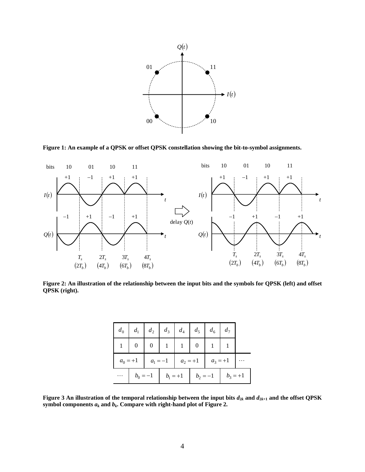

**Figure 1: An example of a QPSK or offset QPSK constellation showing the bit-to-symbol assignments.** 



**Figure 2: An illustration of the relationship between the input bits and the symbols for QPSK (left) and offset QPSK (right).** 

|  | $d_0$ $d_1$ $d_2$ $d_3$ $d_4$ $d_5$ $d_6$ $d_7$ |  |  |  |                                                      |  |  |  |
|--|-------------------------------------------------|--|--|--|------------------------------------------------------|--|--|--|
|  | 1 0 0 1 1 1 0 1                                 |  |  |  |                                                      |  |  |  |
|  |                                                 |  |  |  | $a_0 = +1$ $a_1 = -1$ $a_2 = +1$ $a_3 = +1$ $\cdots$ |  |  |  |
|  | $b_0 = -1$ $b_1 = +1$ $b_2 = -1$ $b_3 = +1$     |  |  |  |                                                      |  |  |  |

**Figure 3 An illustration of the temporal relationship between the input bits**  $d_{2k}$  **and**  $d_{2k+1}$  **and the offset QPSK** symbol components  $a_k$  and  $b_k$ . Compare with right-hand plot of Figure 2.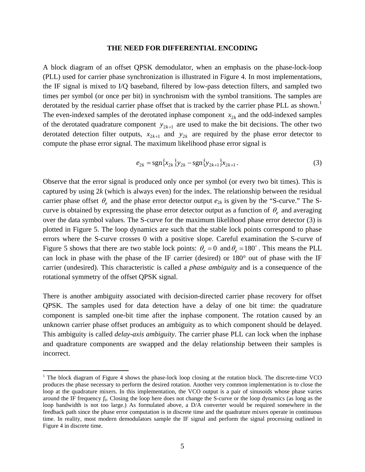#### **THE NEED FOR DIFFERENTIAL ENCODING**

A block diagram of an offset QPSK demodulator, when an emphasis on the phase-lock-loop (PLL) used for carrier phase synchronization is illustrated in Figure 4. In most implementations, the IF signal is mixed to I/Q baseband, filtered by low-pass detection filters, and sampled two times per symbol (or once per bit) in synchronism with the symbol transitions. The samples are derotated by the residual carrier phase offset that is tracked by the carrier phase PLL as shown.<sup>1</sup> The even-indexed samples of the derotated inphase component  $x_{2k}$  and the odd-indexed samples of the derotated quadrature component  $y_{2k+1}$  are used to make the bit decisions. The other two derotated detection filter outputs,  $x_{2k+1}$  and  $y_{2k}$  are required by the phase error detector to compute the phase error signal. The maximum likelihood phase error signal is

$$
e_{2k} = \text{sgn}\{x_{2k}\}y_{2k} - \text{sgn}\{y_{2k+1}\}x_{2k+1}.
$$
 (3)

Observe that the error signal is produced only once per symbol (or every two bit times). This is captured by using 2*k* (which is always even) for the index. The relationship between the residual carrier phase offset  $\theta$  and the phase error detector output  $e_{2k}$  is given by the "S-curve." The Scurve is obtained by expressing the phase error detector output as a function of  $\theta_e$  and averaging over the data symbol values. The S-curve for the maximum likelihood phase error detector (3) is plotted in Figure 5. The loop dynamics are such that the stable lock points correspond to phase errors where the S-curve crosses 0 with a positive slope. Careful examination the S-curve of Figure 5 shows that there are two stable lock points:  $\theta_e = 0$  and  $\theta_e = 180^\circ$ . This means the PLL can lock in phase with the phase of the IF carrier (desired) or 180° out of phase with the IF carrier (undesired). This characteristic is called a *phase ambiguity* and is a consequence of the rotational symmetry of the offset QPSK signal.

There is another ambiguity associated with decision-directed carrier phase recovery for offset QPSK. The samples used for data detection have a delay of one bit time: the quadrature component is sampled one-bit time after the inphase component. The rotation caused by an unknown carrier phase offset produces an ambiguity as to which component should be delayed. This ambiguity is called *delay-axis ambiguity*. The carrier phase PLL can lock when the inphase and quadrature components are swapped and the delay relationship between their samples is incorrect.

 $\overline{a}$ 

<sup>&</sup>lt;sup>1</sup> The block diagram of Figure 4 shows the phase-lock loop closing at the rotation block. The discrete-time VCO produces the phase necessary to perform the desired rotation. Another very common implementation is to close the loop at the quadrature mixers. In this implementation, the VCO output is a pair of sinusoids whose phase varies around the IF frequency *f*0. Closing the loop here does not change the S-curve or the loop dynamics (as long as the loop bandwidth is not too large.) As formulated above, a D/A converter would be required somewhere in the feedback path since the phase error computation is in discrete time and the quadrature mixers operate in continuous time. In reality, most modern demodulators sample the IF signal and perform the signal processing outlined in Figure 4 in discrete time.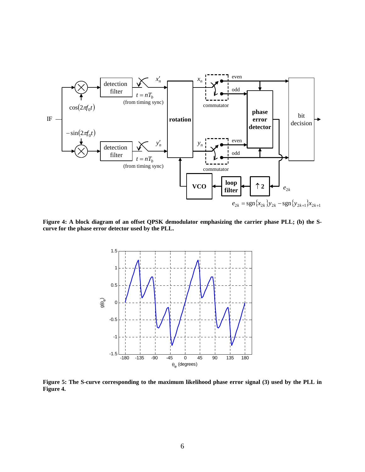

**Figure 4: A block diagram of an offset QPSK demodulator emphasizing the carrier phase PLL; (b) the Scurve for the phase error detector used by the PLL.** 



**Figure 5: The S-curve corresponding to the maximum likelihood phase error signal (3) used by the PLL in Figure 4.**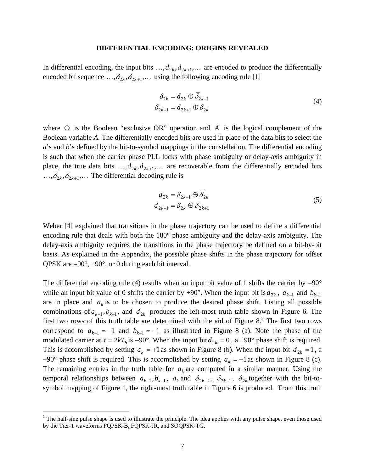#### **DIFFERENTIAL ENCODING: ORIGINS REVEALED**

In differential encoding, the input bits  $..., d_{2k}, d_{2k+1},...$  are encoded to produce the differentially encoded bit sequence  $\ldots, \delta_{2k}, \delta_{2k+1}, \ldots$  using the following encoding rule [1]

$$
\delta_{2k} = d_{2k} \oplus \overline{\delta}_{2k-1}
$$
  
\n
$$
\delta_{2k+1} = d_{2k+1} \oplus \delta_{2k}
$$
\n(4)

where  $\oplus$  is the Boolean "exclusive OR" operation and  $\overline{A}$  is the logical complement of the Boolean variable *A*. The differentially encoded bits are used in place of the data bits to select the *a*'s and *b*'s defined by the bit-to-symbol mappings in the constellation. The differential encoding is such that when the carrier phase PLL locks with phase ambiguity or delay-axis ambiguity in place, the true data bits  $...,$  $d_{2k}$ , $d_{2k+1}$ ,... are recoverable from the differentially encoded bits  $\ldots, \delta_{2k}, \delta_{2k+1}, \ldots$  The differential decoding rule is

$$
d_{2k} = \delta_{2k-1} \oplus \overline{\delta}_{2k}
$$
  
\n
$$
d_{2k+1} = \delta_{2k} \oplus \delta_{2k+1}
$$
\n(5)

Weber [4] explained that transitions in the phase trajectory can be used to define a differential encoding rule that deals with both the 180° phase ambiguity and the delay-axis ambiguity. The delay-axis ambiguity requires the transitions in the phase trajectory be defined on a bit-by-bit basis. As explained in the Appendix, the possible phase shifts in the phase trajectory for offset QPSK are −90°, +90°, or 0 during each bit interval.

The differential encoding rule (4) results when an input bit value of 1 shifts the carrier by −90° while an input bit value of 0 shifts the carrier by +90°. When the input bit is  $d_{2k}$ ,  $a_{k-1}$  and  $b_{k-1}$ are in place and  $a_k$  is to be chosen to produce the desired phase shift. Listing all possible combinations of  $a_{k-1}, b_{k-1}$ , and  $d_{2k}$  produces the left-most truth table shown in Figure 6. The first two rows of this truth table are determined with the aid of Figure  $8<sup>2</sup>$ . The first two rows correspond to  $a_{k-1} = -1$  and  $b_{k-1} = -1$  as illustrated in Figure 8 (a). Note the phase of the modulated carrier at  $t = 2kT_b$  is −90°. When the input bit  $d_{2k} = 0$ , a +90° phase shift is required. This is accomplished by setting  $a_k = +1$  as shown in Figure 8 (b). When the input bit  $d_{2k} = 1$ , a  $-90^\circ$  phase shift is required. This is accomplished by setting  $a_k = -1$  as shown in Figure 8 (c). The remaining entries in the truth table for  $a_k$  are computed in a similar manner. Using the temporal relationships between  $a_{k-1}, b_{k-1}, a_k$  and  $\delta_{2k-2}, \delta_{2k-1}, \delta_{2k}$  together with the bit-tosymbol mapping of Figure 1, the right-most truth table in Figure 6 is produced. From this truth

1

 $2^2$  The half-sine pulse shape is used to illustrate the principle. The idea applies with any pulse shape, even those used by the Tier-1 waveforms FQPSK-B, FQPSK-JR, and SOQPSK-TG.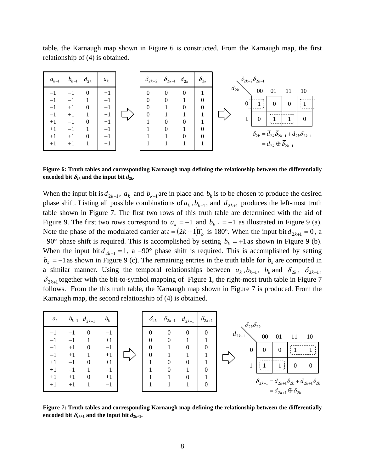table, the Karnaugh map shown in Figure 6 is constructed. From the Karnaugh map, the first relationship of (4) is obtained.



**Figure 6: Truth tables and corresponding Karnaugh map defining the relationship between the differentially**  encoded bit  $\delta_{2k}$  and the input bit  $d_{2k}$ .

When the input bit is  $d_{2k+1}$ ,  $a_k$  and  $b_{k-1}$  are in place and  $b_k$  is to be chosen to produce the desired phase shift. Listing all possible combinations of  $a_k$ ,  $b_{k-1}$ , and  $d_{2k+1}$  produces the left-most truth table shown in Figure 7. The first two rows of this truth table are determined with the aid of Figure 9. The first two rows correspond to  $a_k = -1$  and  $b_{k-1} = -1$  as illustrated in Figure 9 (a). Note the phase of the modulated carrier at  $t = (2k+1)T_b$  is 180°. When the input bit  $d_{2k+1} = 0$ , a +90° phase shift is required. This is accomplished by setting  $b_k = +1$  as shown in Figure 9 (b). When the input bit  $d_{2k+1} = 1$ , a −90° phase shift is required. This is accomplished by setting  $b_k = -1$  as shown in Figure 9 (c). The remaining entries in the truth table for  $b_k$  are computed in a similar manner. Using the temporal relationships between  $a_k$ ,  $b_{k-1}$ ,  $b_k$  and  $\delta_{2k}$ ,  $\delta_{2k-1}$ ,  $\delta_{2k+1}$  together with the bit-to-symbol mapping of Figure 1, the right-most truth table in Figure 7 follows. From the this truth table, the Karnaugh map shown in Figure 7 is produced. From the Karnaugh map, the second relationship of (4) is obtained.

| $\boldsymbol{a}_k$   |                      | $b_{k-1}$ $d_{2k+1}$                 | $b_k$                |  | $\delta_{2k}$                    |               | $\delta_{2k-1}$ $d_{2k+1}$ | $\delta_{2k+1}$                | $\delta_{2k}\delta_{2k-1}$                                                                                           |
|----------------------|----------------------|--------------------------------------|----------------------|--|----------------------------------|---------------|----------------------------|--------------------------------|----------------------------------------------------------------------------------------------------------------------|
| -1                   | – 1<br>$+1$          | $\boldsymbol{0}$<br>$\boldsymbol{0}$ | $-1$<br>$+1$<br>-1   |  | $\Omega$<br>$\Omega$<br>$\Omega$ | $\Omega$<br>0 | $\Omega$<br>$\Omega$       | $\mathbf{0}$<br>$\overline{0}$ | $d_{2k+1}$<br>$00\,$<br>10<br>01<br>$\boldsymbol{0}$<br>$\mathbf{0}$<br>$\theta$                                     |
| $-1$<br>$+1$<br>$+1$ | $^{+1}$<br>-1<br>— I | $\overline{0}$                       | $+1$<br>$+1$<br>$-1$ |  | $\boldsymbol{0}$                 | 0             | 0                          | $\boldsymbol{0}$               | 0<br>$\Omega$                                                                                                        |
| $+1$<br>$+1$         | $+1$<br>$+1$         | $\overline{0}$                       | $+1$<br>$-1$         |  |                                  |               | 0                          | 0                              | $\delta_{2k+1} = \overline{d}_{2k+1} \delta_{2k} + d_{2k+1} \overline{\delta}_{2k}$<br>$=d_{2k+1}\oplus \delta_{2k}$ |

**Figure 7: Truth tables and corresponding Karnaugh map defining the relationship between the differentially**  encoded bit  $\delta_{2k+1}$  and the input bit  $d_{2k+1}$ .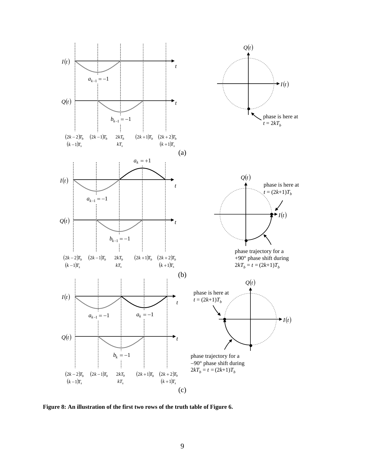

**Figure 8: An illustration of the first two rows of the truth table of Figure 6.**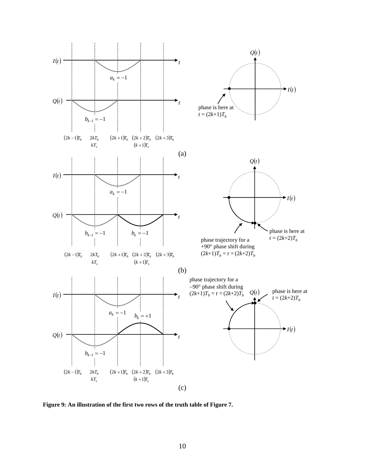

**Figure 9: An illustration of the first two rows of the truth table of Figure 7.**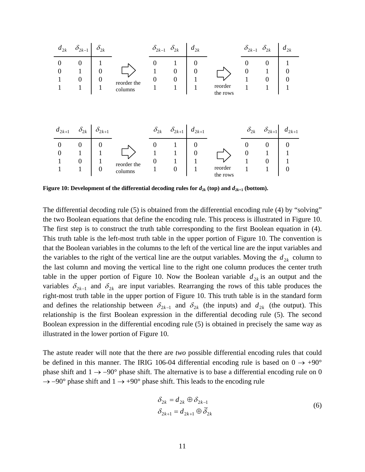

**Figure 10: Development of the differential decoding rules for**  $d_{2k}$  **(top) and**  $d_{2k+1}$  **(bottom).** 

The differential decoding rule (5) is obtained from the differential encoding rule (4) by "solving" the two Boolean equations that define the encoding rule. This process is illustrated in Figure 10. The first step is to construct the truth table corresponding to the first Boolean equation in (4). This truth table is the left-most truth table in the upper portion of Figure 10. The convention is that the Boolean variables in the columns to the left of the vertical line are the input variables and the variables to the right of the vertical line are the output variables. Moving the  $d_{2k}$  column to the last column and moving the vertical line to the right one column produces the center truth table in the upper portion of Figure 10. Now the Boolean variable  $d_{2k}$  is an output and the variables  $\delta_{2k-1}$  and  $\delta_{2k}$  are input variables. Rearranging the rows of this table produces the right-most truth table in the upper portion of Figure 10. This truth table is in the standard form and defines the relationship between  $\delta_{2k-1}$  and  $\delta_{2k}$  (the inputs) and  $d_{2k}$  (the output). This relationship is the first Boolean expression in the differential decoding rule (5). The second Boolean expression in the differential encoding rule (5) is obtained in precisely the same way as illustrated in the lower portion of Figure 10.

The astute reader will note that the there are *two* possible differential encoding rules that could be defined in this manner. The IRIG 106-04 differential encoding rule is based on  $0 \rightarrow +90^{\circ}$ phase shift and  $1 \rightarrow -90^{\circ}$  phase shift. The alternative is to base a differential encoding rule on 0  $\rightarrow$  -90° phase shift and 1  $\rightarrow$  +90° phase shift. This leads to the encoding rule

$$
\delta_{2k} = d_{2k} \oplus \delta_{2k-1}
$$
  
\n
$$
\delta_{2k+1} = d_{2k+1} \oplus \overline{\delta}_{2k}
$$
\n(6)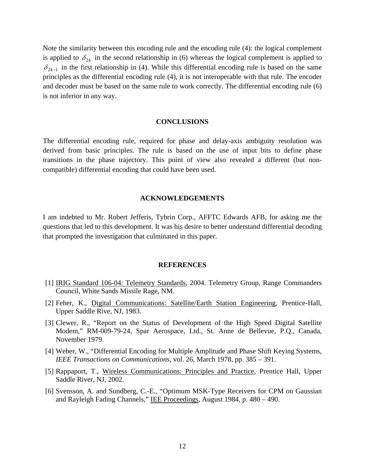Note the similarity between this encoding rule and the encoding rule (4): the logical complement is applied to  $\delta_{2k}$  in the second relationship in (6) whereas the logical complement is applied to  $\delta_{2k-1}$  in the first relationship in (4). While this differential encoding rule is based on the same principles as the differential encoding rule (4), it is not interoperable with that rule. The encoder and decoder must be based on the same rule to work correctly. The differential encoding rule (6) is not inferior in any way.

# **CONCLUSIONS**

The differential encoding rule, required for phase and delay-axis ambiguity resolution was derived from basic principles. The rule is based on the use of input bits to define phase transitions in the phase trajectory. This point of view also revealed a different (but noncompatible) differential encoding that could have been used.

# **ACKNOWLEDGEMENTS**

I am indebted to Mr. Robert Jefferis, Tybrin Corp., AFFTC Edwards AFB, for asking me the questions that led to this development. It was his desire to better understand differential decoding that prompted the investigation that culminated in this paper.

#### **REFERENCES**

- [1] IRIG Standard 106-04: Telemetry Standards, 2004. Telemetry Group, Range Commanders Council, White Sands Missile Rage, NM.
- [2] Feher, K., Digital Communications: Satellite/Earth Station Engineering, Prentice-Hall, Upper Saddle Rive, NJ, 1983.
- [3] Clewer, R., "Report on the Status of Development of the High Speed Digital Satellite Modem," RM-009-79-24, Spar Aerospace, Ltd., St. Anne de Bellevue, P.Q., Canada, November 1979.
- [4] Weber, W., "Differential Encoding for Multiple Amplitude and Phase Shift Keying Systems, *IEEE Transactions on Communications*, vol. 26, March 1978, pp. 385 – 391.
- [5] Rappaport, T., Wireless Communications: Principles and Practice, Prentice Hall, Upper Saddle River, NJ, 2002.
- [6] Svensson, A. and Sundberg, C.-E., "Optimum MSK-Type Receivers for CPM on Gaussian and Rayleigh Fading Channels," IEE Proceedings, August 1984, p. 480 - 490.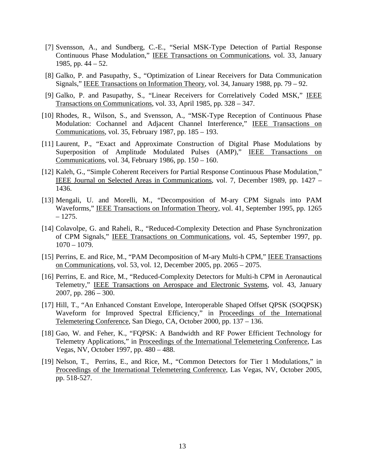- [7] Svensson, A., and Sundberg, C.-E., "Serial MSK-Type Detection of Partial Response Continuous Phase Modulation," IEEE Transactions on Communications, vol. 33, January 1985, pp. 44 – 52.
- [8] Galko, P. and Pasupathy, S., "Optimization of Linear Receivers for Data Communication Signals," IEEE Transactions on Information Theory, vol. 34, January 1988, pp. 79 – 92.
- [9] Galko, P. and Pasupathy, S., "Linear Receivers for Correlatively Coded MSK," IEEE Transactions on Communications, vol. 33, April 1985, pp. 328 – 347.
- [10] Rhodes, R., Wilson, S., and Svensson, A., "MSK-Type Reception of Continuous Phase Modulation: Cochannel and Adjacent Channel Interference," IEEE Transactions on Communications, vol. 35, February 1987, pp. 185 – 193.
- [11] Laurent, P., "Exact and Approximate Construction of Digital Phase Modulations by Superposition of Amplitude Modulated Pulses (AMP)," IEEE Transactions on Communications, vol. 34, February 1986, pp. 150 – 160.
- [12] Kaleh, G., "Simple Coherent Receivers for Partial Response Continuous Phase Modulation," IEEE Journal on Selected Areas in Communications, vol. 7, December 1989, pp. 1427 – 1436.
- [13] Mengali, U. and Morelli, M., "Decomposition of M-ary CPM Signals into PAM Waveforms," IEEE Transactions on Information Theory, vol. 41, September 1995, pp. 1265 – 1275.
- [14] Colavolpe, G. and Raheli, R., "Reduced-Complexity Detection and Phase Synchronization of CPM Signals," IEEE Transactions on Communications, vol. 45, September 1997, pp. 1070 – 1079.
- [15] Perrins, E. and Rice, M., "PAM Decomposition of M-ary Multi-h CPM," IEEE Transactions on Communications, vol. 53, vol. 12, December 2005, pp. 2065 – 2075.
- [16] Perrins, E. and Rice, M., "Reduced-Complexity Detectors for Multi-h CPM in Aeronautical Telemetry," IEEE Transactions on Aerospace and Electronic Systems, vol. 43, January 2007, pp. 286 – 300.
- [17] Hill, T., "An Enhanced Constant Envelope, Interoperable Shaped Offset QPSK (SOQPSK) Waveform for Improved Spectral Efficiency," in Proceedings of the International Telemetering Conference, San Diego, CA, October 2000, pp. 137 – 136.
- [18] Gao, W. and Feher, K., "FQPSK: A Bandwidth and RF Power Efficient Technology for Telemetry Applications," in Proceedings of the International Telemetering Conference, Las Vegas, NV, October 1997, pp. 480 – 488.
- [19] Nelson, T., Perrins, E., and Rice, M., "Common Detectors for Tier 1 Modulations," in Proceedings of the International Telemetering Conference, Las Vegas, NV, October 2005, pp. 518-527.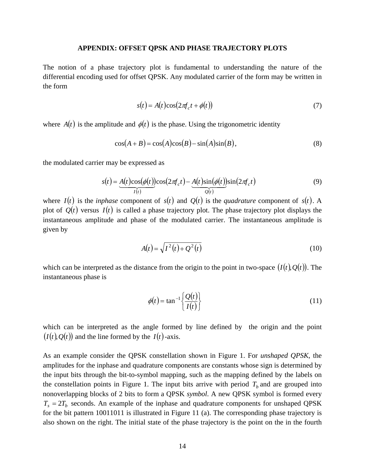#### **APPENDIX: OFFSET QPSK AND PHASE TRAJECTORY PLOTS**

The notion of a phase trajectory plot is fundamental to understanding the nature of the differential encoding used for offset QPSK. Any modulated carrier of the form may be written in the form

$$
s(t) = A(t)\cos(2\pi f_c t + \phi(t))
$$
\n(7)

where  $A(t)$  is the amplitude and  $\phi(t)$  is the phase. Using the trigonometric identity

$$
\cos(A+B) = \cos(A)\cos(B) - \sin(A)\sin(B),\tag{8}
$$

the modulated carrier may be expressed as

$$
s(t) = \underbrace{A(t)\cos(\phi(t))\cos(2\pi f_c t)}_{I(t)} - \underbrace{A(t)\sin(\phi(t))\sin(2\pi f_c t)}_{Q(t)}
$$
(9)

where  $I(t)$  is the *inphase* component of  $s(t)$  and  $Q(t)$  is the *quadrature* component of  $s(t)$ . A plot of  $Q(t)$  versus  $I(t)$  is called a phase trajectory plot. The phase trajectory plot displays the instantaneous amplitude and phase of the modulated carrier. The instantaneous amplitude is given by

$$
A(t) = \sqrt{I^2(t) + Q^2(t)}
$$
 (10)

which can be interpreted as the distance from the origin to the point in two-space  $(I(t), Q(t))$ . The instantaneous phase is

$$
\phi(t) = \tan^{-1}\left\{\frac{Q(t)}{I(t)}\right\} \tag{11}
$$

which can be interpreted as the angle formed by line defined by the origin and the point  $(I(t), Q(t))$  and the line formed by the  $I(t)$ -axis.

As an example consider the QPSK constellation shown in Figure 1. For *unshaped QPSK*, the amplitudes for the inphase and quadrature components are constants whose sign is determined by the input bits through the bit-to-symbol mapping, such as the mapping defined by the labels on the constellation points in Figure 1. The input bits arrive with period  $T<sub>b</sub>$  and are grouped into nonoverlapping blocks of 2 bits to form a QPSK *symbol*. A new QPSK symbol is formed every  $T_s = 2T_b$  seconds. An example of the inphase and quadrature components for unshaped QPSK for the bit pattern 10011011 is illustrated in Figure 11 (a). The corresponding phase trajectory is also shown on the right. The initial state of the phase trajectory is the point on the in the fourth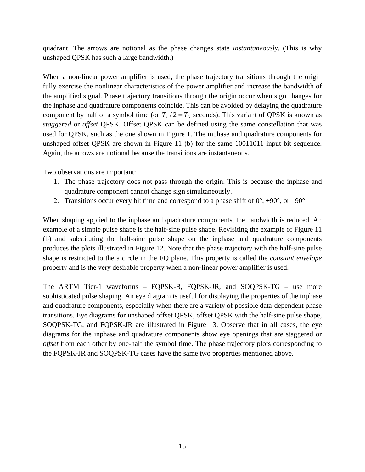quadrant. The arrows are notional as the phase changes state *instantaneously*. (This is why unshaped QPSK has such a large bandwidth.)

When a non-linear power amplifier is used, the phase trajectory transitions through the origin fully exercise the nonlinear characteristics of the power amplifier and increase the bandwidth of the amplified signal. Phase trajectory transitions through the origin occur when sign changes for the inphase and quadrature components coincide. This can be avoided by delaying the quadrature component by half of a symbol time (or  $T_s/2 = T_b$  seconds). This variant of QPSK is known as *staggered* or *offset* QPSK. Offset QPSK can be defined using the same constellation that was used for QPSK, such as the one shown in Figure 1. The inphase and quadrature components for unshaped offset QPSK are shown in Figure 11 (b) for the same 10011011 input bit sequence. Again, the arrows are notional because the transitions are instantaneous.

Two observations are important:

- 1. The phase trajectory does not pass through the origin. This is because the inphase and quadrature component cannot change sign simultaneously.
- 2. Transitions occur every bit time and correspond to a phase shift of 0°, +90°, or −90°.

When shaping applied to the inphase and quadrature components, the bandwidth is reduced. An example of a simple pulse shape is the half-sine pulse shape. Revisiting the example of Figure 11 (b) and substituting the half-sine pulse shape on the inphase and quadrature components produces the plots illustrated in Figure 12. Note that the phase trajectory with the half-sine pulse shape is restricted to the a circle in the I/Q plane. This property is called the *constant envelope* property and is the very desirable property when a non-linear power amplifier is used.

The ARTM Tier-1 waveforms – FQPSK-B, FQPSK-JR, and SOQPSK-TG – use more sophisticated pulse shaping. An eye diagram is useful for displaying the properties of the inphase and quadrature components, especially when there are a variety of possible data-dependent phase transitions. Eye diagrams for unshaped offset QPSK, offset QPSK with the half-sine pulse shape, SOQPSK-TG, and FQPSK-JR are illustrated in Figure 13. Observe that in all cases, the eye diagrams for the inphase and quadrature components show eye openings that are staggered or *offset* from each other by one-half the symbol time. The phase trajectory plots corresponding to the FQPSK-JR and SOQPSK-TG cases have the same two properties mentioned above.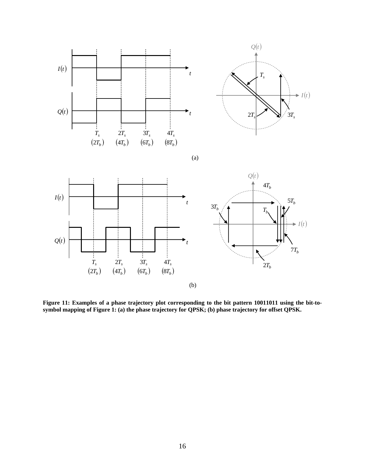

**Figure 11: Examples of a phase trajectory plot corresponding to the bit pattern 10011011 using the bit-to**symbol mapping of Figure 1: (a) the phase trajectory for QPSK; (b) phase trajectory for offset QPSK.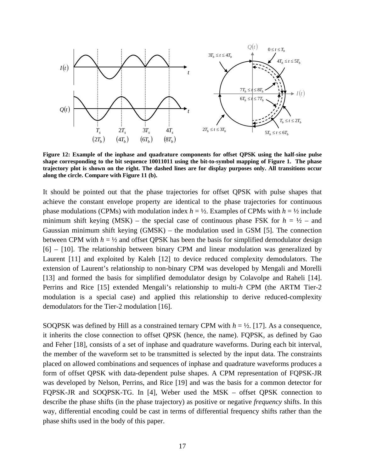

**Figure 12: Example of the inphase and quadrature components for offset QPSK using the half-sine pulse shape corresponding to the bit sequence 10011011 using the bit-to-symbol mapping of Figure 1. The phase trajectory plot is shown on the right. The dashed lines are for display purposes only. All transitions occur along the circle. Compare with Figure 11 (b).** 

It should be pointed out that the phase trajectories for offset QPSK with pulse shapes that achieve the constant envelope property are identical to the phase trajectories for continuous phase modulations (CPMs) with modulation index  $h = \frac{1}{2}$ . Examples of CPMs with  $h = \frac{1}{2}$  include minimum shift keying (MSK) – the special case of continuous phase FSK for  $h = \frac{1}{2}$  – and Gaussian minimum shift keying (GMSK) – the modulation used in GSM [5]. The connection between CPM with  $h = \frac{1}{2}$  and offset QPSK has been the basis for simplified demodulator design [6] – [10]. The relationship between binary CPM and linear modulation was generalized by Laurent [11] and exploited by Kaleh [12] to device reduced complexity demodulators. The extension of Laurent's relationship to non-binary CPM was developed by Mengali and Morelli [13] and formed the basis for simplified demodulator design by Colavolpe and Raheli [14]. Perrins and Rice [15] extended Mengali's relationship to multi-*h* CPM (the ARTM Tier-2 modulation is a special case) and applied this relationship to derive reduced-complexity demodulators for the Tier-2 modulation [16].

SOQPSK was defined by Hill as a constrained ternary CPM with  $h = \frac{1}{2}$ . [17]. As a consequence, it inherits the close connection to offset QPSK (hence, the name). FQPSK, as defined by Gao and Feher [18], consists of a set of inphase and quadrature waveforms. During each bit interval, the member of the waveform set to be transmitted is selected by the input data. The constraints placed on allowed combinations and sequences of inphase and quadrature waveforms produces a form of offset QPSK with data-dependent pulse shapes. A CPM representation of FQPSK-JR was developed by Nelson, Perrins, and Rice [19] and was the basis for a common detector for FQPSK-JR and SOQPSK-TG. In [4], Weber used the MSK – offset QPSK connection to describe the phase shifts (in the phase trajectory) as positive or negative *frequency* shifts. In this way, differential encoding could be cast in terms of differential frequency shifts rather than the phase shifts used in the body of this paper.